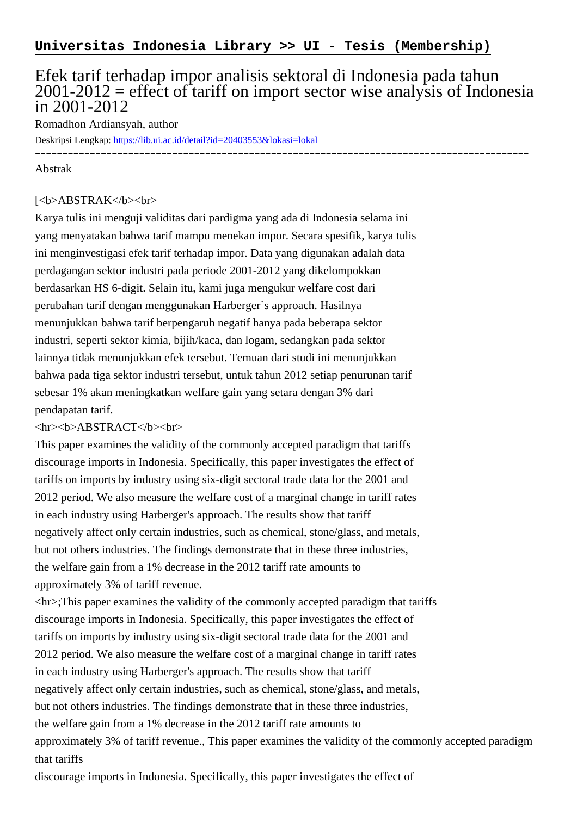## Efek tarif terhadap impor analisis sektoral di Indonesia pada tahun  $2001-2012$  = effect of tariff on import sector wise analysis of Indonesia in 2001-2012

Romadhon Ardiansyah, author

Deskripsi Lengkap:<https://lib.ui.ac.id/detail?id=20403553&lokasi=lokal>

## ------------------------------------------------------------------------------------------ Abstrak

## [<b>ABSTRAK</b><br/>shr>

Karya tulis ini menguji validitas dari pardigma yang ada di Indonesia selama ini yang menyatakan bahwa tarif mampu menekan impor. Secara spesifik, karya tulis ini menginvestigasi efek tarif terhadap impor. Data yang digunakan adalah data perdagangan sektor industri pada periode 2001-2012 yang dikelompokkan berdasarkan HS 6-digit. Selain itu, kami juga mengukur welfare cost dari perubahan tarif dengan menggunakan Harberger`s approach. Hasilnya menunjukkan bahwa tarif berpengaruh negatif hanya pada beberapa sektor industri, seperti sektor kimia, bijih/kaca, dan logam, sedangkan pada sektor lainnya tidak menunjukkan efek tersebut. Temuan dari studi ini menunjukkan bahwa pada tiga sektor industri tersebut, untuk tahun 2012 setiap penurunan tarif sebesar 1% akan meningkatkan welfare gain yang setara dengan 3% dari pendapatan tarif.

## <hr><b>ABSTRACT</b><br>

This paper examines the validity of the commonly accepted paradigm that tariffs discourage imports in Indonesia. Specifically, this paper investigates the effect of tariffs on imports by industry using six-digit sectoral trade data for the 2001 and 2012 period. We also measure the welfare cost of a marginal change in tariff rates in each industry using Harberger's approach. The results show that tariff negatively affect only certain industries, such as chemical, stone/glass, and metals, but not others industries. The findings demonstrate that in these three industries, the welfare gain from a 1% decrease in the 2012 tariff rate amounts to approximately 3% of tariff revenue.

 $\langle h \rangle$ : This paper examines the validity of the commonly accepted paradigm that tariffs discourage imports in Indonesia. Specifically, this paper investigates the effect of tariffs on imports by industry using six-digit sectoral trade data for the 2001 and 2012 period. We also measure the welfare cost of a marginal change in tariff rates in each industry using Harberger's approach. The results show that tariff negatively affect only certain industries, such as chemical, stone/glass, and metals, but not others industries. The findings demonstrate that in these three industries, the welfare gain from a 1% decrease in the 2012 tariff rate amounts to approximately 3% of tariff revenue., This paper examines the validity of the commonly accepted paradigm that tariffs

discourage imports in Indonesia. Specifically, this paper investigates the effect of